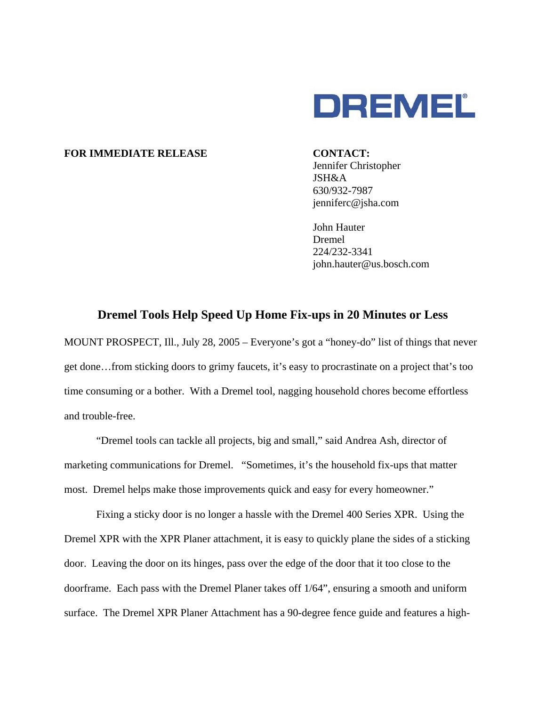

## FOR IMMEDIATE RELEASE CONTACT:

Jennifer Christopher JSH&A 630/932-7987 jenniferc@jsha.com

 John Hauter Dremel 224/232-3341 john.hauter@us.bosch.com

## **Dremel Tools Help Speed Up Home Fix-ups in 20 Minutes or Less**

MOUNT PROSPECT, Ill., July 28, 2005 – Everyone's got a "honey-do" list of things that never get done…from sticking doors to grimy faucets, it's easy to procrastinate on a project that's too time consuming or a bother. With a Dremel tool, nagging household chores become effortless and trouble-free.

"Dremel tools can tackle all projects, big and small," said Andrea Ash, director of marketing communications for Dremel. "Sometimes, it's the household fix-ups that matter most. Dremel helps make those improvements quick and easy for every homeowner."

Fixing a sticky door is no longer a hassle with the Dremel 400 Series XPR. Using the Dremel XPR with the XPR Planer attachment, it is easy to quickly plane the sides of a sticking door. Leaving the door on its hinges, pass over the edge of the door that it too close to the doorframe. Each pass with the Dremel Planer takes off 1/64", ensuring a smooth and uniform surface. The Dremel XPR Planer Attachment has a 90-degree fence guide and features a high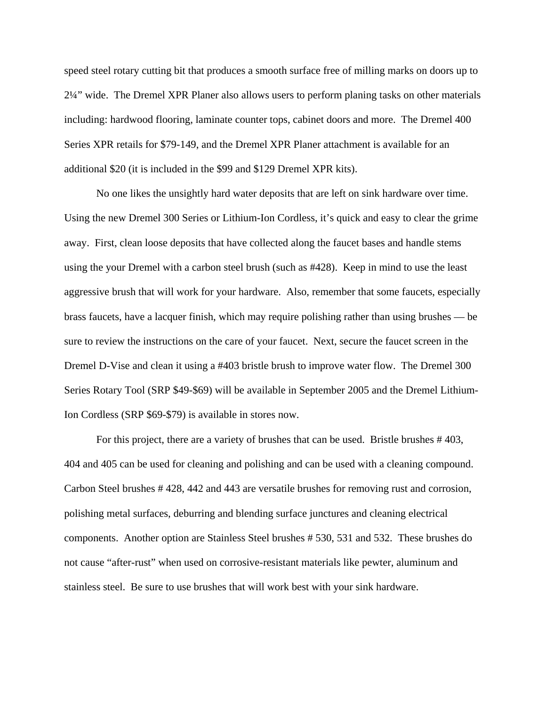speed steel rotary cutting bit that produces a smooth surface free of milling marks on doors up to 2¼" wide. The Dremel XPR Planer also allows users to perform planing tasks on other materials including: hardwood flooring, laminate counter tops, cabinet doors and more. The Dremel 400 Series XPR retails for \$79-149, and the Dremel XPR Planer attachment is available for an additional \$20 (it is included in the \$99 and \$129 Dremel XPR kits).

 No one likes the unsightly hard water deposits that are left on sink hardware over time. Using the new Dremel 300 Series or Lithium-Ion Cordless, it's quick and easy to clear the grime away. First, clean loose deposits that have collected along the faucet bases and handle stems using the your Dremel with a carbon steel brush (such as #428). Keep in mind to use the least aggressive brush that will work for your hardware. Also, remember that some faucets, especially brass faucets, have a lacquer finish, which may require polishing rather than using brushes — be sure to review the instructions on the care of your faucet. Next, secure the faucet screen in the Dremel D-Vise and clean it using a #403 bristle brush to improve water flow. The Dremel 300 Series Rotary Tool (SRP \$49-\$69) will be available in September 2005 and the Dremel Lithium-Ion Cordless (SRP \$69-\$79) is available in stores now.

 For this project, there are a variety of brushes that can be used. Bristle brushes # 403, 404 and 405 can be used for cleaning and polishing and can be used with a cleaning compound. Carbon Steel brushes # 428, 442 and 443 are versatile brushes for removing rust and corrosion, polishing metal surfaces, deburring and blending surface junctures and cleaning electrical components. Another option are Stainless Steel brushes # 530, 531 and 532. These brushes do not cause "after-rust" when used on corrosive-resistant materials like pewter, aluminum and stainless steel. Be sure to use brushes that will work best with your sink hardware.